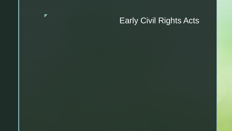# Early Civil Rights Acts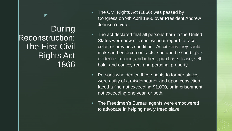During Reconstruction: The First Civil Rights Act 1866

- **The Civil Rights Act (1866) was passed by** Congress on 9th April 1866 over President Andrew Johnson's veto.
- **The act declared that all persons born in the United** States were now citizens, without regard to race, color, or previous condition. As citizens they could make and enforce contracts, sue and be sued, give evidence in court, and inherit, purchase, lease, sell, hold, and convey real and personal property.
- **Persons who denied these rights to former slaves** were guilty of a misdemeanor and upon conviction faced a fine not exceeding \$1,000, or imprisonment not exceeding one year, or both.
- **The Freedmen's Bureau agents were empowered** to advocate in helping newly freed slave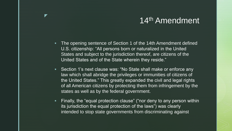#### 14th Amendment

 The opening sentence of Section 1 of the 14th Amendment defined U.S. citizenship: "All persons born or naturalized in the United States and subject to the jurisdiction thereof, are citizens of the United States and of the State wherein they reside."

- Section 1's next clause was: "No State shall make or enforce any law which shall abridge the privileges or immunities of citizens of the United States." This greatly expanded the civil and legal rights of all American citizens by protecting them from infringement by the states as well as by the federal government.
- Finally, the "equal protection clause" ("nor deny to any person within its jurisdiction the equal protection of the laws") was clearly intended to stop state governments from discriminating against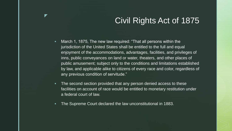#### Civil Rights Act of 1875

- March 1, 1875, The new law required: "That all persons within the jurisdiction of the United States shall be entitled to the full and equal enjoyment of the accommodations, advantages, facilities, and privileges of inns, public conveyances on land or water, theaters, and other places of public amusement; subject only to the conditions and limitations established by law, and applicable alike to citizens of every race and color, regardless of any previous condition of servitude."
- The second section provided that any person denied access to these facilities on account of race would be entitled to monetary restitution under a federal court of law.
- The Supreme Court declared the law unconstitutional in 1883.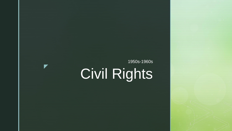# Civil Rights 1950s -1960s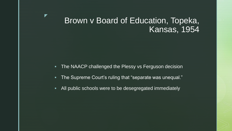#### Brown v Board of Education, Topeka, Kansas, 1954

**The NAACP challenged the Plessy vs Ferguson decision** 

- The Supreme Court's ruling that "separate was unequal."
- All public schools were to be desegregated immediately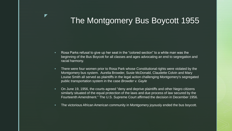## The Montgomery Bus Boycott 1955

 Rosa Parks refusal to give up her seat in the "colored section" to a white man was the beginning of the Bus Boycott for all classes and ages advocating an end to segregation and racial harmony.

- There were four women prior to Rosa Park whose Constitutional rights were violated by the Montgomery bus system. Aurelia Browder, Susie McDonald, Claudette Colvin and Mary Louise Smith all served as plaintiffs in the legal action challenging Montgomery's segregated public transportation system in the case *Browder v. Gayle*
- **On June 19, 1956, the courts agreed "deny and deprive plaintiffs and other Negro citizens** similarly situated of the equal protection of the laws and due process of law secured by the Fourteenth Amendment." The U.S. Supreme Court affirmed the decision in December 1956.
- The victorious African American community in Montgomery joyously ended the bus boycott.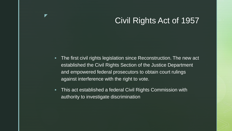#### Civil Rights Act of 1957

- **The first civil rights legislation since Reconstruction. The new act** established the Civil Rights Section of the Justice Department and empowered federal prosecutors to obtain court rulings against interference with the right to vote.
- **This act established a federal Civil Rights Commission with** authority to investigate discrimination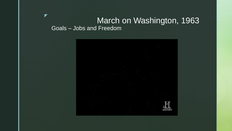#### March on Washington, 1963 Goals – Jobs and Freedom

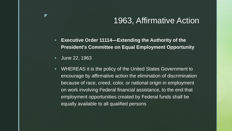#### 1963, Affirmative Action

 **Executive Order 11114—Extending the Authority of the President's Committee on Equal Employment Opportunity**

**June 22, 1963** 

z

 WHEREAS it is the policy of the United States Government to encourage by affirmative action the elimination of discrimination because of race, creed, color, or national origin in employment on work involving Federal financial assistance, to the end that employment opportunities created by Federal funds shall be equally available to all qualified persons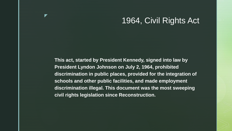#### 1964, Civil Rights Act

**This act, started by President Kennedy, signed into law by President Lyndon Johnson on July 2, 1964, prohibited discrimination in public places, provided for the integration of schools and other public facilities, and made employment discrimination illegal. This document was the most sweeping civil rights legislation since Reconstruction.**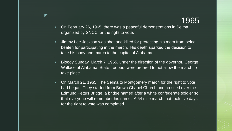#### 1965

 On February 26, 1965, there was a peaceful demonstrations in Selma organized by SNCC for the right to vote.

- Jimmy Lee Jackson was shot and killed for protecting his mom from being beaten for participating in the march. His death sparked the decision to take his body and march to the capitol of Alabama.
- Bloody Sunday, March 7, 1965, under the direction of the governor, George Wallace of Alabama, State troopers were ordered to not allow the march to take place.
- On March 21, 1965, The Selma to Montgomery march for the right to vote had began. They started from Brown Chapel Church and crossed over the Edmund Pettus Bridge, a bridge named after a white confederate soldier so that everyone will remember his name. A 54 mile march that took five days for the right to vote was completed.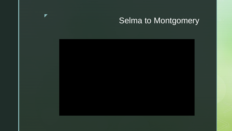## Selma to Montgomery

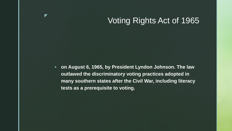#### Voting Rights Act of 1965

 **on August 6, 1965, by President Lyndon Johnson. The law outlawed the discriminatory voting practices adopted in many southern states after the Civil War, including literacy tests as a prerequisite to voting.**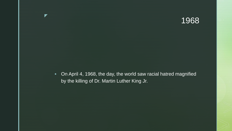#### 1968

 On April 4, 1968, the day, the world saw racial hatred magnified by the killing of Dr. Martin Luther King Jr.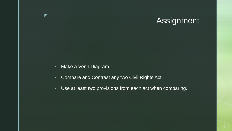## Assignment

**Make a Venn Diagram** 

- **Compare and Contrast any two Civil Rights Act.**
- Use at least two provisions from each act when comparing.